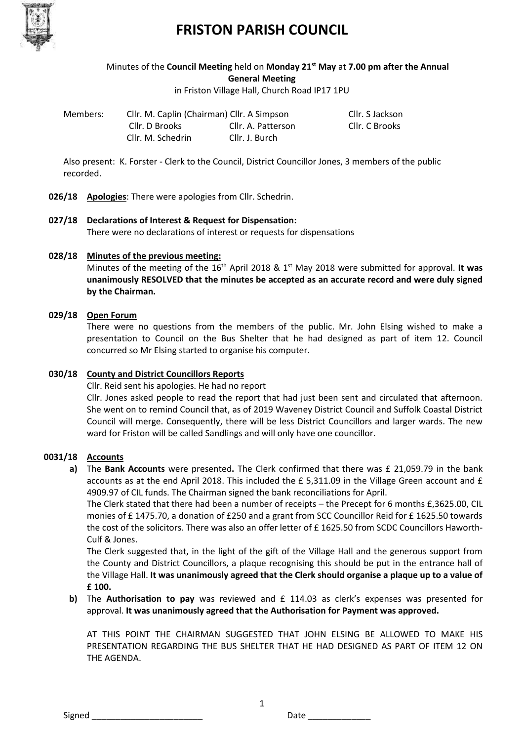

Minutes of the **Council Meeting** held on **Monday 21st May** at **7.00 pm after the Annual General Meeting**

in Friston Village Hall, Church Road IP17 1PU

| Members: |  |
|----------|--|
|          |  |

Cllr. M. Caplin (Chairman) Cllr. A Simpson Cllr. S Jackson Cllr. D Brooks Cllr. A. Patterson Cllr. C Brooks Cllr. M. Schedrin Cllr. J. Burch

Also present: K. Forster - Clerk to the Council, District Councillor Jones, 3 members of the public recorded.

- **026/18 Apologies**: There were apologies from Cllr. Schedrin.
- **027/18 Declarations of Interest & Request for Dispensation:** There were no declarations of interest or requests for dispensations

## **028/18 Minutes of the previous meeting:**

Minutes of the meeting of the 16<sup>th</sup> April 2018 & 1<sup>st</sup> May 2018 were submitted for approval. It was **unanimously RESOLVED that the minutes be accepted as an accurate record and were duly signed by the Chairman.**

## **029/18 Open Forum**

There were no questions from the members of the public. Mr. John Elsing wished to make a presentation to Council on the Bus Shelter that he had designed as part of item 12. Council concurred so Mr Elsing started to organise his computer.

## **030/18 County and District Councillors Reports**

Cllr. Reid sent his apologies. He had no report

Cllr. Jones asked people to read the report that had just been sent and circulated that afternoon. She went on to remind Council that, as of 2019 Waveney District Council and Suffolk Coastal District Council will merge. Consequently, there will be less District Councillors and larger wards. The new ward for Friston will be called Sandlings and will only have one councillor.

## **0031/18 Accounts**

**a)** The **Bank Accounts** were presented**.** The Clerk confirmed that there was £ 21,059.79 in the bank accounts as at the end April 2018. This included the £ 5,311.09 in the Village Green account and £ 4909.97 of CIL funds. The Chairman signed the bank reconciliations for April.

The Clerk stated that there had been a number of receipts – the Precept for 6 months £,3625.00, CIL monies of £ 1475.70, a donation of £250 and a grant from SCC Councillor Reid for £ 1625.50 towards the cost of the solicitors. There was also an offer letter of £ 1625.50 from SCDC Councillors Haworth-Culf & Jones.

The Clerk suggested that, in the light of the gift of the Village Hall and the generous support from the County and District Councillors, a plaque recognising this should be put in the entrance hall of the Village Hall. **It was unanimously agreed that the Clerk should organise a plaque up to a value of £ 100.** 

## **b)** The **Authorisation to pay** was reviewed and £ 114.03 as clerk's expenses was presented for approval. **It was unanimously agreed that the Authorisation for Payment was approved.**

1

AT THIS POINT THE CHAIRMAN SUGGESTED THAT JOHN ELSING BE ALLOWED TO MAKE HIS PRESENTATION REGARDING THE BUS SHELTER THAT HE HAD DESIGNED AS PART OF ITEM 12 ON THE AGENDA.

Signed \_\_\_\_\_\_\_\_\_\_\_\_\_\_\_\_\_\_\_\_\_\_\_ Date \_\_\_\_\_\_\_\_\_\_\_\_\_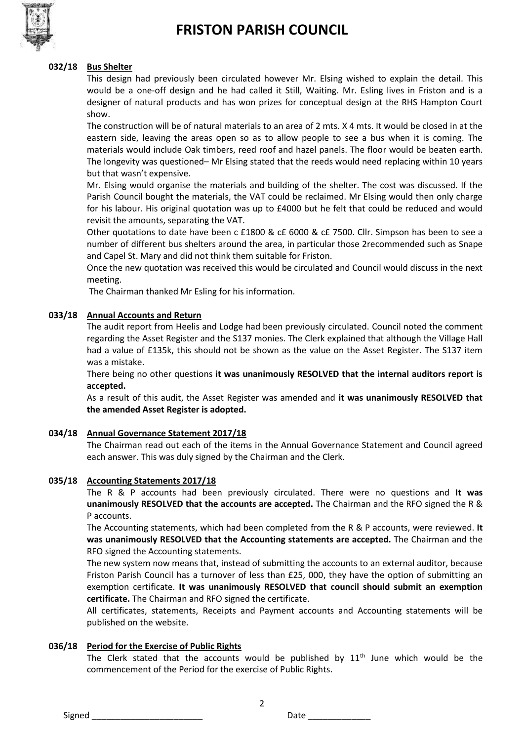

#### **032/18 Bus Shelter**

This design had previously been circulated however Mr. Elsing wished to explain the detail. This would be a one-off design and he had called it Still, Waiting. Mr. Esling lives in Friston and is a designer of natural products and has won prizes for conceptual design at the RHS Hampton Court show.

The construction will be of natural materials to an area of 2 mts. X 4 mts. It would be closed in at the eastern side, leaving the areas open so as to allow people to see a bus when it is coming. The materials would include Oak timbers, reed roof and hazel panels. The floor would be beaten earth. The longevity was questioned– Mr Elsing stated that the reeds would need replacing within 10 years but that wasn't expensive.

Mr. Elsing would organise the materials and building of the shelter. The cost was discussed. If the Parish Council bought the materials, the VAT could be reclaimed. Mr Elsing would then only charge for his labour. His original quotation was up to £4000 but he felt that could be reduced and would revisit the amounts, separating the VAT.

Other quotations to date have been c £1800 & c£ 6000 & c£ 7500. Cllr. Simpson has been to see a number of different bus shelters around the area, in particular those 2recommended such as Snape and Capel St. Mary and did not think them suitable for Friston.

Once the new quotation was received this would be circulated and Council would discuss in the next meeting.

The Chairman thanked Mr Esling for his information.

#### **033/18 Annual Accounts and Return**

The audit report from Heelis and Lodge had been previously circulated. Council noted the comment regarding the Asset Register and the S137 monies. The Clerk explained that although the Village Hall had a value of £135k, this should not be shown as the value on the Asset Register. The S137 item was a mistake.

There being no other questions **it was unanimously RESOLVED that the internal auditors report is accepted.**

As a result of this audit, the Asset Register was amended and **it was unanimously RESOLVED that the amended Asset Register is adopted.** 

#### **034/18 Annual Governance Statement 2017/18**

The Chairman read out each of the items in the Annual Governance Statement and Council agreed each answer. This was duly signed by the Chairman and the Clerk.

#### **035/18 Accounting Statements 2017/18**

The R & P accounts had been previously circulated. There were no questions and **It was unanimously RESOLVED that the accounts are accepted.** The Chairman and the RFO signed the R & P accounts.

The Accounting statements, which had been completed from the R & P accounts, were reviewed. **It was unanimously RESOLVED that the Accounting statements are accepted.** The Chairman and the RFO signed the Accounting statements.

The new system now means that, instead of submitting the accounts to an external auditor, because Friston Parish Council has a turnover of less than £25, 000, they have the option of submitting an exemption certificate. **It was unanimously RESOLVED that council should submit an exemption certificate.** The Chairman and RFO signed the certificate.

All certificates, statements, Receipts and Payment accounts and Accounting statements will be published on the website.

#### **036/18 Period for the Exercise of Public Rights**

The Clerk stated that the accounts would be published by  $11<sup>th</sup>$  June which would be the commencement of the Period for the exercise of Public Rights.

2

Signed **Example 2** and the state of  $\overline{a}$  bate  $\overline{b}$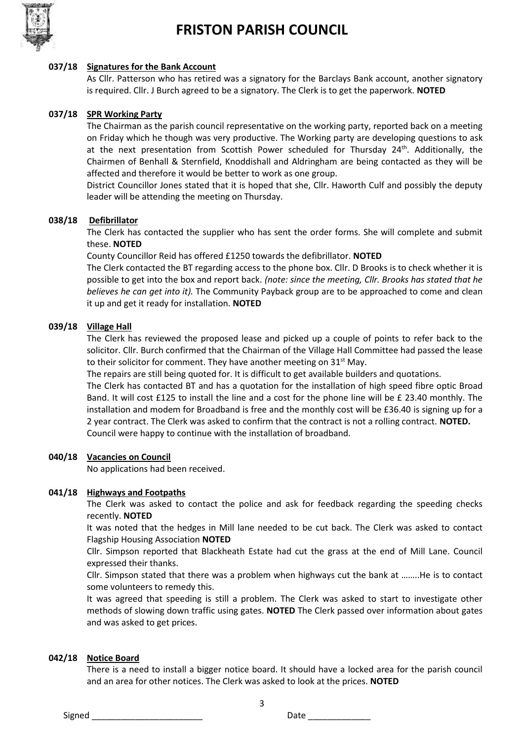

#### **037/18 Signatures for the Bank Account**

As Cllr. Patterson who has retired was a signatory for the Barclays Bank account, another signatory is required. Cllr. J Burch agreed to be a signatory. The Clerk is to get the paperwork. **NOTED**

### **037/18 SPR Working Party**

The Chairman as the parish council representative on the working party, reported back on a meeting on Friday which he though was very productive. The Working party are developing questions to ask at the next presentation from Scottish Power scheduled for Thursday  $24<sup>th</sup>$ . Additionally, the Chairmen of Benhall & Sternfield, Knoddishall and Aldringham are being contacted as they will be affected and therefore it would be better to work as one group.

District Councillor Jones stated that it is hoped that she, Cllr. Haworth Culf and possibly the deputy leader will be attending the meeting on Thursday.

### **038/18 Defibrillator**

The Clerk has contacted the supplier who has sent the order forms. She will complete and submit these. **NOTED**

County Councillor Reid has offered £1250 towards the defibrillator. **NOTED**

The Clerk contacted the BT regarding access to the phone box. Cllr. D Brooks is to check whether it is possible to get into the box and report back. *(note: since the meeting, Cllr. Brooks has stated that he believes he can get into it).* The Community Payback group are to be approached to come and clean it up and get it ready for installation. **NOTED**

### **039/18 Village Hall**

The Clerk has reviewed the proposed lease and picked up a couple of points to refer back to the solicitor. Cllr. Burch confirmed that the Chairman of the Village Hall Committee had passed the lease to their solicitor for comment. They have another meeting on  $31<sup>st</sup>$  May.

The repairs are still being quoted for. It is difficult to get available builders and quotations.

The Clerk has contacted BT and has a quotation for the installation of high speed fibre optic Broad Band. It will cost £125 to install the line and a cost for the phone line will be £ 23.40 monthly. The installation and modem for Broadband is free and the monthly cost will be £36.40 is signing up for a 2 year contract. The Clerk was asked to confirm that the contract is not a rolling contract. **NOTED.**  Council were happy to continue with the installation of broadband.

#### **040/18 Vacancies on Council**

No applications had been received.

#### **041/18 Highways and Footpaths**

The Clerk was asked to contact the police and ask for feedback regarding the speeding checks recently. **NOTED**

It was noted that the hedges in Mill lane needed to be cut back. The Clerk was asked to contact Flagship Housing Association **NOTED**

Cllr. Simpson reported that Blackheath Estate had cut the grass at the end of Mill Lane. Council expressed their thanks.

Cllr. Simpson stated that there was a problem when highways cut the bank at ……..He is to contact some volunteers to remedy this.

It was agreed that speeding is still a problem. The Clerk was asked to start to investigate other methods of slowing down traffic using gates. **NOTED** The Clerk passed over information about gates and was asked to get prices.

#### **042/18 Notice Board**

There is a need to install a bigger notice board. It should have a locked area for the parish council and an area for other notices. The Clerk was asked to look at the prices. **NOTED**

3

Signed \_\_\_\_\_\_\_\_\_\_\_\_\_\_\_\_\_\_\_\_\_\_\_ Date \_\_\_\_\_\_\_\_\_\_\_\_\_